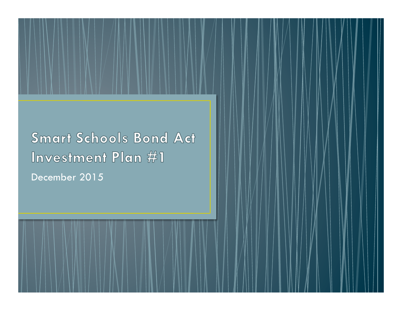**Smart Schools Bond Act** Investment Plan #1 December 2015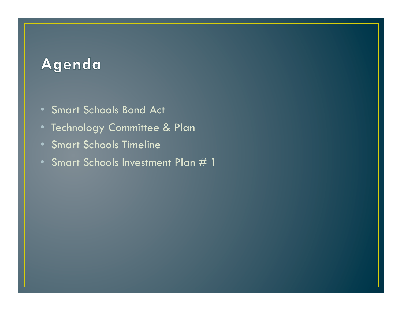# Agenda

- Smart Schools Bond Act
- Technology Committee & Plan
- Smart Schools Timeline
- Smart Schools Investment Plan # 1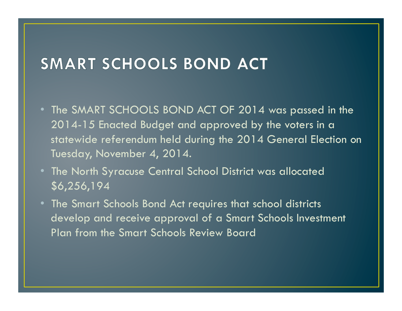# SMART SCHOOLS BOND ACT

- The SMART SCHOOLS BOND ACT OF 2014 was passed in the 2014-15 Enacted Budget and approved by the voters in a statewide referendum held during the 2014 General Election on Tuesday, November 4, 2014.
- The North Syracuse Central School District was allocated \$6,256,194
- The Smart Schools Bond Act requires that school districts develop and receive approval of a Smart Schools Investment Plan from the Smart Schools Review Board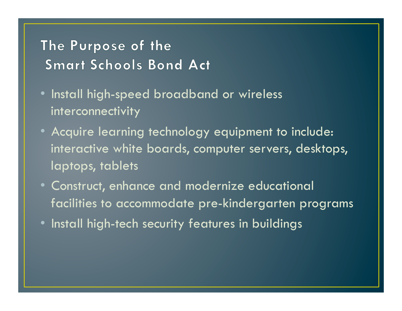## The Purpose of the **Smart Schools Bond Act**

- Install high-speed broadband or wireless interconnectivity
- Acquire learning technology equipment to include: interactive white boards, computer servers, desktops, laptops, tablets
- Construct, enhance and modernize educational facilities to accommodate pre-kindergarten programs
- Install high-tech security features in buildings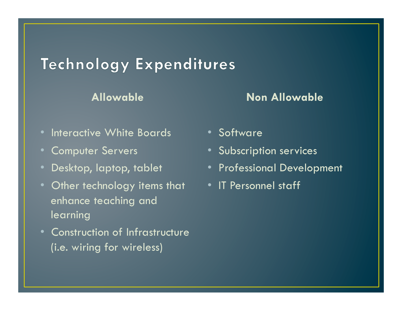## **Technology Expenditures**

#### **Allowable**

#### **Non Allowable**

- Interactive White Boards
- Computer Servers
- Desktop, laptop, tablet
- Other technology items that IT Personnel staff enhance teaching and learning
- Construction of Infrastructure (i.e. wiring for wireless)
- Software
- Subscription services
- Professional Development
-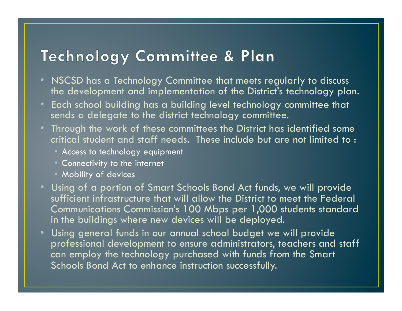## Technology Committee & Plan

- NSCSD has a Technology Committee that meets regularly to discuss the development and implementation of the District's technology plan.
- Each school building has a building level technology committee that sends a delegate to the district technology committee.
- Through the work of these committees the District has identified some critical student and staff needs. These include but are not limited to :
	- Access to technology equipment
	- Connectivity to the internet
	- Mobility of devices
- Using of a portion of Smart Schools Bond Act funds, we will provide sufficient infrastructure that will allow the District to meet the Federal Communications Commission's 100 Mbps per 1,000 students standard in the buildings where new devices will be deployed.
- Using general funds in our annual school budget we will provide professional development to ensure administrators, teachers and staff can employ the technology purchased with funds from the Smart Schools Bond Act to enhance instruction successfully.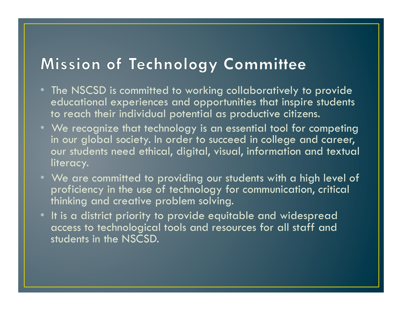# Mission of Technology Committee

- The NSCSD is committed to working collaboratively to provide educational experiences and opportunities that inspire students to reach their individual potential as productive citizens.
- We recognize that technology is an essential tool for competing in our global society. In order to succeed in college and career, our students need ethical, digital, visual, information and textual literacy.
- We are committed to providing our students with a high level of proficiency in the use of technology for communication, critical thinking and creative problem solving.
- It is a district priority to provide equitable and widespread access to technological tools and resources for all staff and students in the NSCSD.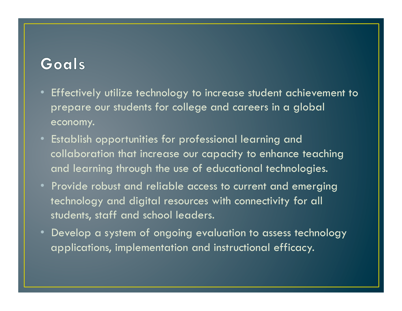## Goals

- Effectively utilize technology to increase student achievement to prepare our students for college and careers in a global economy.
- Establish opportunities for professional learning and collaboration that increase our capacity to enhance teaching and learning through the use of educational technologies.
- Provide robust and reliable access to current and emerging technology and digital resources with connectivity for all students, staff and school leaders.
- Develop a system of ongoing evaluation to assess technology applications, implementation and instructional efficacy.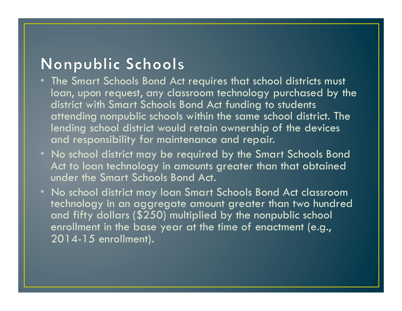# Nonpublic Schools

- The Smart Schools Bond Act requires that school districts must loan, upon request, any classroom technology purchased by the district with Smart Schools Bond Act funding to students attending nonpublic schools within the same school district. The lending school district would retain ownership of the devices and responsibility for maintenance and repair.
- No school district may be required by the Smart Schools Bond Act to loan technology in amounts greater than that obtained under the Smart Schools Bond Act.
- No school district may loan Smart Schools Bond Act classroom technology in an aggregate amount greater than two hundred and fifty dollars (\$250) multiplied by the nonpublic school enrollment in the base year at the time of enactment (e.g., 2014-15 enrollment).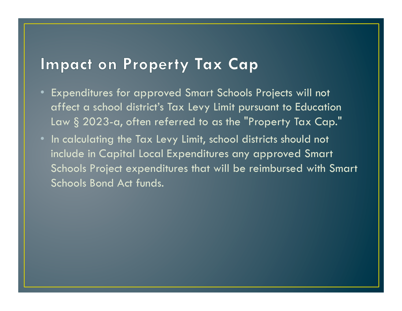## **Impact on Property Tax Cap**

- Expenditures for approved Smart Schools Projects will not affect a school district's Tax Levy Limit pursuant to Education Law § 2023-a, often referred to as the "Property Tax Cap."
- In calculating the Tax Levy Limit, school districts should not include in Capital Local Expenditures any approved Smart Schools Project expenditures that will be reimbursed with Smart Schools Bond Act funds.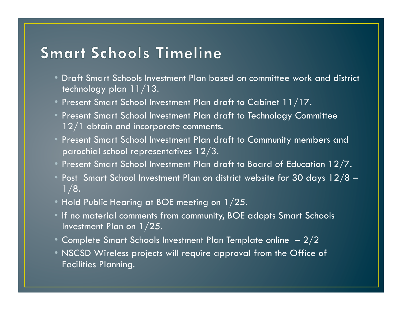#### **Smart Schools Timeline**

- Draft Smart Schools Investment Plan based on committee work and district technology plan 11/13.
- Present Smart School Investment Plan draft to Cabinet 11/17.
- Present Smart School Investment Plan draft to Technology Committee 12/1 obtain and incorporate comments.
- Present Smart School Investment Plan draft to Community members and parochial school representatives 12/3.
- Present Smart School Investment Plan draft to Board of Education  $12/7$ .
- Post Smart School Investment Plan on district website for 30 days 12/8 - $1/8.$
- $\bullet$  Hold Public Hearing at BOE meeting on 1/25.
- If no material comments from community, BOE adopts Smart Schools Investment Plan on 1/25.
- $\bullet$  Complete Smart Schools Investment Plan Template online  $\,$   $\,2/2$
- NSCSD Wireless projects will require approval from the Office of Facilities Planning.